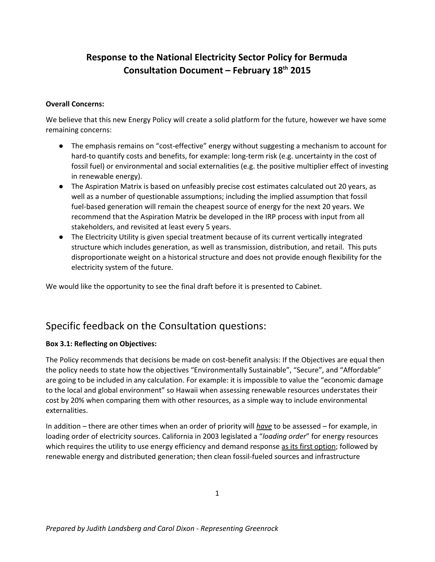# **Response to the National Electricity Sector Policy for Bermuda Consultation Document – February 18th2015**

#### **Overall Concerns:**

We believe that this new Energy Policy will create a solid platform for the future, however we have some remaining concerns:

- The emphasis remains on "cost-effective" energy without suggesting a mechanism to account for hard-to quantify costs and benefits, for example: long-term risk (e.g. uncertainty in the cost of fossil fuel) or environmental and social externalities (e.g. the positive multiplier effect of investing in renewable energy).
- The Aspiration Matrix is based on unfeasibly precise cost estimates calculated out 20 years, as well as a number of questionable assumptions; including the implied assumption that fossil fuel-based generation will remain the cheapest source of energy for the next 20 years. We recommend that the Aspiration Matrix be developed in the IRP process with input from all stakeholders, and revisited at least every 5 years.
- The Electricity Utility is given special treatment because of its current vertically integrated structure which includes generation, as well as transmission, distribution, and retail. This puts disproportionate weight on a historical structure and does not provide enough flexibility for the electricity system of the future.

We would like the opportunity to see the final draft before it is presented to Cabinet.

# Specific feedback on the Consultation questions:

#### **Box 3.1: Reflecting on Objectives:**

The Policy recommends that decisions be made on cost-benefit analysis: If the Objectives are equal then the policy needs to state how the objectives "Environmentally Sustainable", "Secure", and "Affordable" are going to be included in any calculation. For example: it is impossible to value the "economic damage to the local and global environment" so Hawaii when assessing renewable resources understates their cost by 20% when comparing them with other resources, as a simple way to include environmental externalities.

In addition – there are other times when an order of priority will *have* to be assessed – for example, in loading order of electricity sources. California in 2003 legislated a "*loading order*" for energy resources which requires the utility to use energy efficiency and demand response as its first option; followed by renewable energy and distributed generation; then clean fossil-fueled sources and infrastructure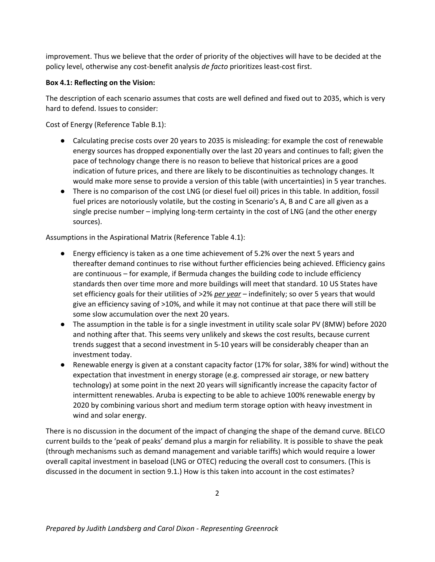improvement. Thus we believe that the order of priority of the objectives will have to be decided at the policy level, otherwise any cost-benefit analysis *de facto* prioritizes least-cost first.

#### **Box 4.1: Reflecting on the Vision:**

The description of each scenario assumes that costs are well defined and fixed out to 2035, which is very hard to defend. Issues to consider:

Cost of Energy (Reference Table B.1):

- Calculating precise costs over 20 years to 2035 is misleading: for example the cost of renewable energy sources has dropped exponentially over the last 20 years and continues to fall; given the pace of technology change there is no reason to believe that historical prices are a good indication of future prices, and there are likely to be discontinuities as technology changes. It would make more sense to provide a version of this table (with uncertainties) in 5 year tranches.
- There is no comparison of the cost LNG (or diesel fuel oil) prices in this table. In addition, fossil fuel prices are notoriously volatile, but the costing in Scenario's A, B and C are all given as a single precise number – implying long-term certainty in the cost of LNG (and the other energy sources).

Assumptions in the Aspirational Matrix (Reference Table 4.1):

- Energy efficiency is taken as a one time achievement of 5.2% over the next 5 years and thereafter demand continues to rise without further efficiencies being achieved. Efficiency gains are continuous – for example, if Bermuda changes the building code to include efficiency standards then over time more and more buildings will meet that standard. 10 US States have set efficiency goals for their utilities of >2% *per year* – indefinitely; so over 5 years that would give an efficiency saving of >10%, and while it may not continue at that pace there will still be some slow accumulation over the next 20 years.
- The assumption in the table is for a single investment in utility scale solar PV (8MW) before 2020 and nothing after that. This seems very unlikely and skews the cost results, because current trends suggest that a second investment in 5-10 years will be considerably cheaper than an investment today.
- Renewable energy is given at a constant capacity factor (17% for solar, 38% for wind) without the expectation that investment in energy storage (e.g. compressed air storage, or new battery technology) at some point in the next 20 years will significantly increase the capacity factor of intermittent renewables. Aruba is expecting to be able to achieve 100% renewable energy by 2020 by combining various short and medium term storage option with heavy investment in wind and solar energy.

There is no discussion in the document of the impact of changing the shape of the demand curve. BELCO current builds to the 'peak of peaks' demand plus a margin for reliability. It is possible to shave the peak (through mechanisms such as demand management and variable tariffs) which would require a lower overall capital investment in baseload (LNG or OTEC) reducing the overall cost to consumers. (This is discussed in the document in section 9.1.) How is this taken into account in the cost estimates?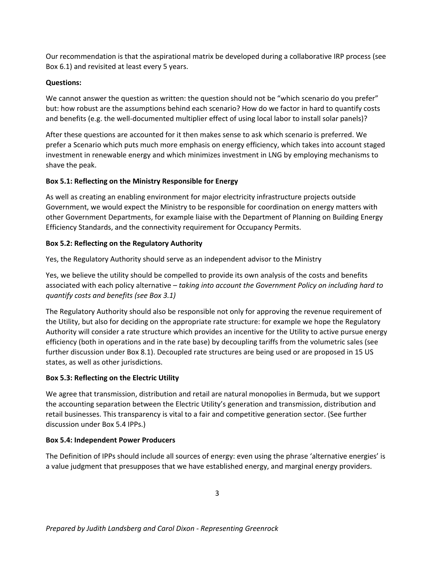Our recommendation is that the aspirational matrix be developed during a collaborative IRP process (see Box 6.1) and revisited at least every 5 years.

# **Questions:**

We cannot answer the question as written: the question should not be "which scenario do you prefer" but: how robust are the assumptions behind each scenario? How do we factor in hard to quantify costs and benefits (e.g. the well-documented multiplier effect of using local labor to install solar panels)?

After these questions are accounted for it then makes sense to ask which scenario is preferred. We prefer a Scenario which puts much more emphasis on energy efficiency, which takes into account staged investment in renewable energy and which minimizes investment in LNG by employing mechanisms to shave the peak.

# **Box 5.1: Reflecting on the Ministry Responsible for Energy**

As well as creating an enabling environment for major electricity infrastructure projects outside Government, we would expect the Ministry to be responsible for coordination on energy matters with other Government Departments, for example liaise with the Department of Planning on Building Energy Efficiency Standards, and the connectivity requirement for Occupancy Permits.

# **Box 5.2: Reflecting on the Regulatory Authority**

Yes, the Regulatory Authority should serve as an independent advisor to the Ministry

Yes, we believe the utility should be compelled to provide its own analysis of the costs and benefits associated with each policy alternative – *taking into account the Government Policy on including hard to quantify costs and benefits (see Box 3.1)*

The Regulatory Authority should also be responsible not only for approving the revenue requirement of the Utility, but also for deciding on the appropriate rate structure: for example we hope the Regulatory Authority will consider a rate structure which provides an incentive for the Utility to active pursue energy efficiency (both in operations and in the rate base) by decoupling tariffs from the volumetric sales (see further discussion under Box 8.1). Decoupled rate structures are being used or are proposed in 15 US states, as well as other jurisdictions.

# **Box 5.3: Reflecting on the Electric Utility**

We agree that transmission, distribution and retail are natural monopolies in Bermuda, but we support the accounting separation between the Electric Utility's generation and transmission, distribution and retail businesses. This transparency is vital to a fair and competitive generation sector. (See further discussion under Box 5.4 IPPs.)

#### **Box 5.4: Independent Power Producers**

The Definition of IPPs should include all sources of energy: even using the phrase 'alternative energies' is a value judgment that presupposes that we have established energy, and marginal energy providers.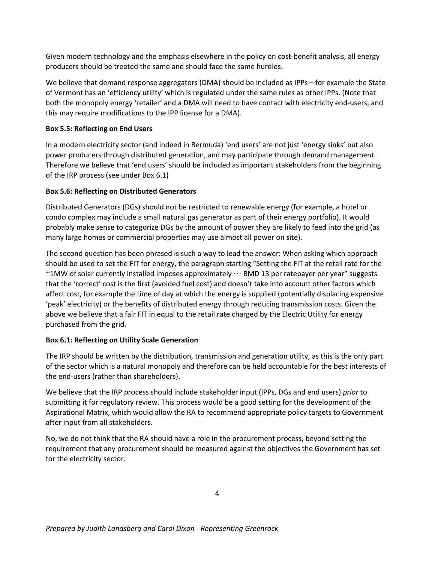Given modern technology and the emphasis elsewhere in the policy on cost-benefit analysis, all energy producers should be treated the same and should face the same hurdles.

We believe that demand response aggregators (DMA) should be included as IPPs – for example the State of Vermont has an 'efficiency utility' which is regulated under the same rules as other IPPs. (Note that both the monopoly energy 'retailer' and a DMA will need to have contact with electricity end-users, and this may require modifications to the IPP license for a DMA).

#### **Box 5.5: Reflecting on End Users**

In a modern electricity sector (and indeed in Bermuda) 'end users' are not just 'energy sinks' but also power producers through distributed generation, and may participate through demand management. Therefore we believe that 'end users' should be included as important stakeholders from the beginning of the IRP process (see under Box 6.1)

# **Box 5.6: Reflecting on Distributed Generators**

Distributed Generators (DGs) should not be restricted to renewable energy (for example, a hotel or condo complex may include a small natural gas generator as part of their energy portfolio). It would probably make sense to categorize DGs by the amount of power they are likely to feed into the grid (as many large homes or commercial properties may use almost all power on site).

The second question has been phrased is such a way to lead the answer: When asking which approach should be used to set the FIT for energy, the paragraph starting "Setting the FIT at the retail rate for the ~1MW of solar currently installed imposes approximately … BMD 13 per ratepayer per year" suggests that the 'correct' cost is the first (avoided fuel cost) and doesn't take into account other factors which affect cost, for example the time of day at which the energy is supplied (potentially displacing expensive 'peak' electricity) or the benefits of distributed energy through reducing transmission costs. Given the above we believe that a fair FIT in equal to the retail rate charged by the Electric Utility for energy purchased from the grid.

# **Box 6.1: Reflecting on Utility Scale Generation**

The IRP should be written by the distribution, transmission and generation utility, as this is the only part of the sector which is a natural monopoly and therefore can be held accountable for the best interests of the end-users (rather than shareholders).

We believe that the IRP process should include stakeholder input (IPPs, DGs and end users) *prior* to submitting it for regulatory review. This process would be a good setting for the development of the Aspirational Matrix, which would allow the RA to recommend appropriate policy targets to Government after input from all stakeholders.

No, we do not think that the RA should have a role in the procurement process, beyond setting the requirement that any procurement should be measured against the objectives the Government has set for the electricity sector.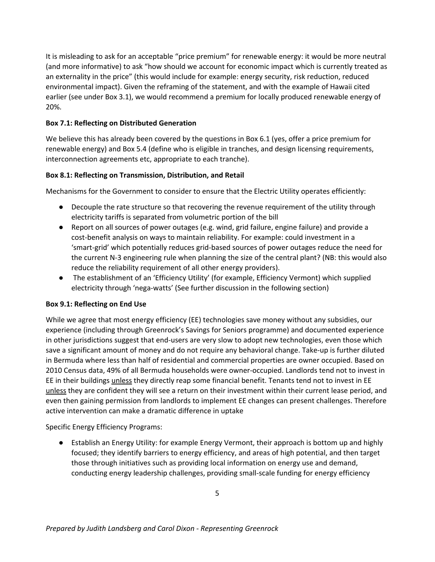It is misleading to ask for an acceptable "price premium" for renewable energy: it would be more neutral (and more informative) to ask "how should we account for economic impact which is currently treated as an externality in the price" (this would include for example: energy security, risk reduction, reduced environmental impact). Given the reframing of the statement, and with the example of Hawaii cited earlier (see under Box 3.1), we would recommend a premium for locally produced renewable energy of 20%.

# **Box 7.1: Reflecting on Distributed Generation**

We believe this has already been covered by the questions in Box 6.1 (yes, offer a price premium for renewable energy) and Box 5.4 (define who is eligible in tranches, and design licensing requirements, interconnection agreements etc, appropriate to each tranche).

# **Box 8.1: Reflecting on Transmission, Distribution, and Retail**

Mechanisms for the Government to consider to ensure that the Electric Utility operates efficiently:

- Decouple the rate structure so that recovering the revenue requirement of the utility through electricity tariffs is separated from volumetric portion of the bill
- Report on all sources of power outages (e.g. wind, grid failure, engine failure) and provide a cost-benefit analysis on ways to maintain reliability. For example: could investment in a 'smart-grid' which potentially reduces grid-based sources of power outages reduce the need for the current N-3 engineering rule when planning the size of the central plant? (NB: this would also reduce the reliability requirement of all other energy providers).
- The establishment of an 'Efficiency Utility' (for example, Efficiency Vermont) which supplied electricity through 'nega-watts' (See further discussion in the following section)

#### **Box 9.1: Reflecting on End Use**

While we agree that most energy efficiency (EE) technologies save money without any subsidies, our experience (including through Greenrock's Savings for Seniors programme) and documented experience in other jurisdictions suggest that end-users are very slow to adopt new technologies, even those which save a significant amount of money and do not require any behavioral change. Take-up is further diluted in Bermuda where less than half of residential and commercial properties are owner occupied. Based on 2010 Census data, 49% of all Bermuda households were owner-occupied. Landlords tend not to invest in EE in their buildings unless they directly reap some financial benefit. Tenants tend not to invest in EE unless they are confident they will see a return on their investment within their current lease period, and even then gaining permission from landlords to implement EE changes can present challenges. Therefore active intervention can make a dramatic difference in uptake

Specific Energy Efficiency Programs:

● Establish an Energy Utility: for example Energy Vermont, their approach is bottom up and highly focused; they identify barriers to energy efficiency, and areas of high potential, and then target those through initiatives such as providing local information on energy use and demand, conducting energy leadership challenges, providing small-scale funding for energy efficiency